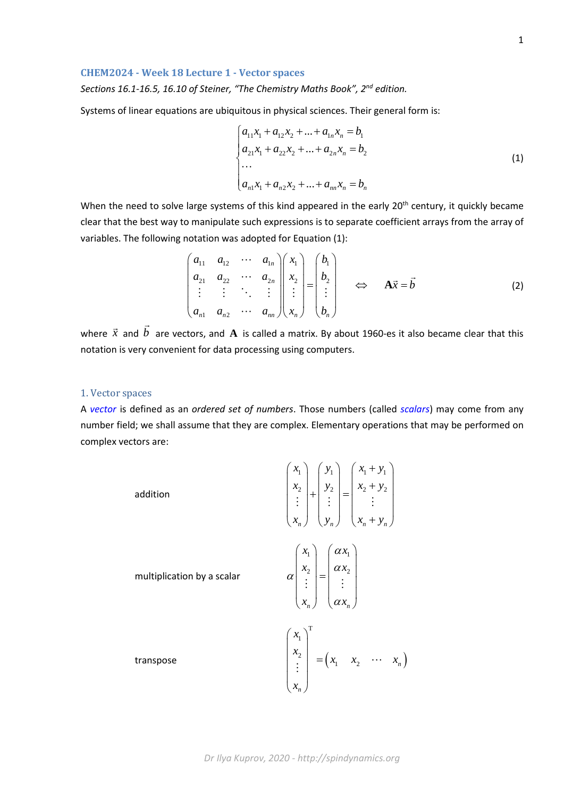# **CHEM2024 - Week 18 Lecture 1 - Vector spaces**

*Sections 16.1-16.5, 16.10 of Steiner, "The Chemistry Maths Book", 2nd edition.*

Systems of linear equations are ubiquitous in physical sciences. Their general form is:

$$
\begin{cases}\na_{11}x_1 + a_{12}x_2 + \dots + a_{1n}x_n = b_1 \\
a_{21}x_1 + a_{22}x_2 + \dots + a_{2n}x_n = b_2 \\
\dots \\
a_{n1}x_1 + a_{n2}x_2 + \dots + a_{nn}x_n = b_n\n\end{cases}
$$
\n(1)

When the need to solve large systems of this kind appeared in the early 20<sup>th</sup> century, it quickly became clear that the best way to manipulate such expressions is to separate coefficient arrays from the array of variables. The following notation was adopted for Equation (1):

$$
\begin{pmatrix} a_{11} & a_{12} & \cdots & a_{1n} \\ a_{21} & a_{22} & \cdots & a_{2n} \\ \vdots & \vdots & \ddots & \vdots \\ a_{n1} & a_{n2} & \cdots & a_{nn} \end{pmatrix} \begin{pmatrix} x_1 \\ x_2 \\ \vdots \\ x_n \end{pmatrix} = \begin{pmatrix} b_1 \\ b_2 \\ \vdots \\ b_n \end{pmatrix} \quad \Leftrightarrow \quad \mathbf{A}\vec{x} = \vec{b} \tag{2}
$$

where  $\vec{x}$  and  $\vec{b}$  are vectors, and  $\vec{A}$  is called a matrix. By about 1960-es it also became clear that this notation is very convenient for data processing using computers.

## 1. Vector spaces

A *vector* is defined as an *ordered set of numbers*. Those numbers (called *scalars*) may come from any number field; we shall assume that they are complex. Elementary operations that may be performed on complex vectors are:

> addition  $1 + \mathcal{Y}_1 + \mathcal{Y}_1 + \mathcal{Y}_1$ 2 |  $\frac{y_2}{2}$  |  $\frac{x_2}{2}$   $\frac{y_2}{2}$ *n*  $\left\{ \begin{array}{c} x_n \\ y_n \end{array} \right\}$   $\left\{ \begin{array}{c} x_n \\ y_n \end{array} \right\}$  $x_1$   $\left(y_1\right)$   $\left(x_1+y\right)$  $x_2$  |  $y_2$  |  $x_2 + y$  $x_n$   $\left(y_n\right)$   $\left(x_n+y\right)$  $\left(x_1\right)$   $\left(y_1\right)$   $\left(x_1+y_1\right)$  $\begin{pmatrix} 1 \\ x_2 \end{pmatrix}$   $\begin{pmatrix} 1 \\ y_2 \end{pmatrix}$   $\begin{pmatrix} 1 \\ x_2 + y_2 \end{pmatrix}$  $+$   $\begin{array}{c} 2^2 \\ -1 \end{array}$  =  $\left(x_n\right) \left(y_n\right) \left(x_n + y_n\right)$  $\frac{1}{2}$   $\frac{1}{2}$   $\frac{1}{2}$   $\frac{1}{2}$   $\frac{1}{2}$   $\frac{1}{2}$   $\frac{1}{2}$   $\frac{1}{2}$   $\frac{1}{2}$   $\frac{1}{2}$   $\frac{1}{2}$   $\frac{1}{2}$   $\frac{1}{2}$   $\frac{1}{2}$   $\frac{1}{2}$   $\frac{1}{2}$   $\frac{1}{2}$   $\frac{1}{2}$   $\frac{1}{2}$   $\frac{1}{2}$   $\frac{1}{2}$   $\frac{1}{2}$  multiplication by a scalar 1 |  $\mathbf{u} \cdot \mathbf{v}$ 2  $\vert$   $\vert$   $\vert$   $\alpha \lambda_2$  $n / \sqrt{\mu} \lambda_n$  $x_1$   $\alpha x$  $x_2$   $\alpha x$  $x_n$ )  $\alpha x$ α α α α  $\begin{pmatrix} x_1 \\ x_2 \end{pmatrix}$   $\begin{pmatrix} \alpha x_1 \\ \alpha x_2 \end{pmatrix}$  $\begin{vmatrix} x_2 \\ \vdots \end{vmatrix} = \begin{vmatrix} \alpha x_2 \\ \vdots \end{vmatrix}$  $\left(x_{n}\right)$   $\left(\alpha x_{n}\right)$  $\frac{1}{2}$   $\frac{1}{2}$   $\frac{1}{2}$   $\frac{1}{2}$ transpose  $\begin{vmatrix} x \end{vmatrix} = \begin{pmatrix} x_1 & x_2 & \cdots & x_n \end{pmatrix}$ T 1 2 1  $\lambda_2$   $\lambda_n$ *n x x*  $x_1$   $x_2$   $\cdots$  *x x*  $\left(\begin{array}{c} x_1 \\ y_2 \end{array}\right)$  $\begin{vmatrix} x_2 \\ \vdots \end{vmatrix}$  =  $\left(x_{n}\right)$  $\begin{array}{c|cc} 2 & = (x_1 & x_2 & \cdots \\ \vdots & \vdots & \ddots & \end{array}$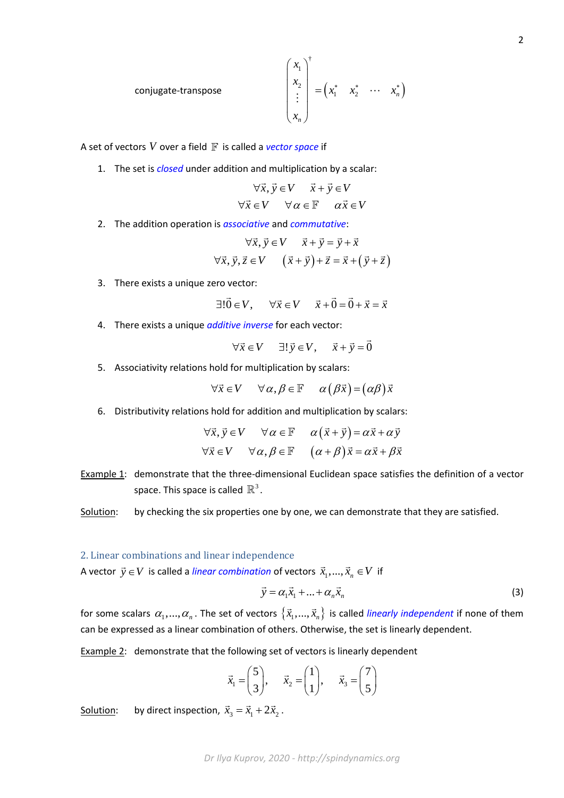conjugate-transpose 
$$
\begin{pmatrix} x_1 \\ x_2 \\ \vdots \\ x_n \end{pmatrix}^{\dagger} = \begin{pmatrix} x_1 & x_2 & \cdots & x_n \end{pmatrix}
$$

A set of vectors  $V$  over a field  $\mathbb F$  is called a *vector space* if

1. The set is *closed* under addition and multiplication by a scalar:

$$
\forall \vec{x}, \vec{y} \in V \quad \vec{x} + \vec{y} \in V
$$
  

$$
\forall \vec{x} \in V \quad \forall \alpha \in \mathbb{F} \quad \alpha \vec{x} \in V
$$

2. The addition operation is *associative* and *commutative*:

$$
\forall \vec{x}, \vec{y} \in V \qquad \vec{x} + \vec{y} = \vec{y} + \vec{x}
$$
  

$$
\forall \vec{x}, \vec{y}, \vec{z} \in V \qquad (\vec{x} + \vec{y}) + \vec{z} = \vec{x} + (\vec{y} + \vec{z})
$$

3. There exists a unique zero vector:

$$
\exists !\vec{0} \in V, \quad \forall \vec{x} \in V \quad \vec{x} + \vec{0} = \vec{0} + \vec{x} = \vec{x}
$$

4. There exists a unique *additive inverse* for each vector:

 $\forall \vec{x} \in V$   $\exists ! \vec{y} \in V$ ,  $\vec{x} + \vec{y} = \vec{0}$ 

5. Associativity relations hold for multiplication by scalars:

$$
\forall \vec{x} \in V \quad \forall \alpha, \beta \in \mathbb{F} \quad \alpha (\beta \vec{x}) = (\alpha \beta) \vec{x}
$$

6. Distributivity relations hold for addition and multiplication by scalars:

$$
\forall \vec{x}, \vec{y} \in V \quad \forall \alpha \in \mathbb{F} \quad \alpha(\vec{x} + \vec{y}) = \alpha \vec{x} + \alpha \vec{y}
$$
  

$$
\forall \vec{x} \in V \quad \forall \alpha, \beta \in \mathbb{F} \quad (\alpha + \beta) \vec{x} = \alpha \vec{x} + \beta \vec{x}
$$

- Example 1: demonstrate that the three-dimensional Euclidean space satisfies the definition of a vector space. This space is called  $\mathbb{R}^3$ .
- Solution: by checking the six properties one by one, we can demonstrate that they are satisfied.

#### 2. Linear combinations and linear independence

A vector  $\vec{y} \in V$  is called a *linear combination* of vectors  $\vec{x}_1,..., \vec{x}_n \in V$  if

$$
\vec{y} = \alpha_1 \vec{x}_1 + \dots + \alpha_n \vec{x}_n \tag{3}
$$

for some scalars  $\alpha_1,...,\alpha_n$ . The set of vectors  $\{\vec{x}_1,...,\vec{x}_n\}$  is called *linearly independent* if none of them can be expressed as a linear combination of others. Otherwise, the set is linearly dependent.

Example 2: demonstrate that the following set of vectors is linearly dependent

$$
\vec{x}_1 = \begin{pmatrix} 5 \\ 3 \end{pmatrix}, \quad \vec{x}_2 = \begin{pmatrix} 1 \\ 1 \end{pmatrix}, \quad \vec{x}_3 = \begin{pmatrix} 7 \\ 5 \end{pmatrix}
$$

Solution: by direct inspection,  $\vec{x}_3 = \vec{x}_1 + 2\vec{x}_2$ .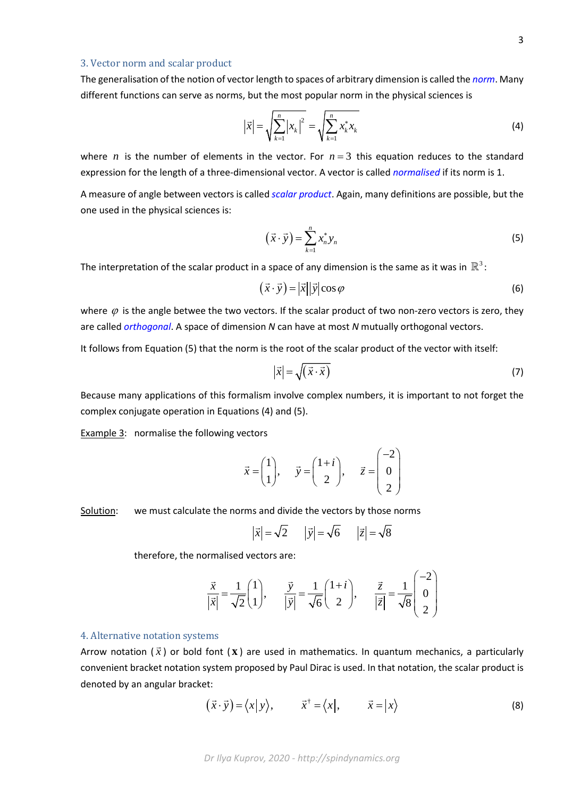### 3. Vector norm and scalar product

The generalisation of the notion of vector length to spaces of arbitrary dimension is called the *norm*. Many different functions can serve as norms, but the most popular norm in the physical sciences is

$$
\left|\vec{x}\right| = \sqrt{\sum_{k=1}^{n} \left|x_{k}\right|^{2}} = \sqrt{\sum_{k=1}^{n} x_{k}^{*} x_{k}}
$$
\n(4)

where *n* is the number of elements in the vector. For  $n=3$  this equation reduces to the standard expression for the length of a three-dimensional vector. A vector is called *normalised* if its norm is 1.

A measure of angle between vectors is called *scalar product*. Again, many definitions are possible, but the one used in the physical sciences is:

$$
(\vec{x} \cdot \vec{y}) = \sum_{k=1}^{n} x_n^* y_n \tag{5}
$$

The interpretation of the scalar product in a space of any dimension is the same as it was in  $\mathbb{R}^3$ :

$$
(\vec{x} \cdot \vec{y}) = |\vec{x}| |\vec{y}| \cos \varphi \tag{6}
$$

where  $\varphi$  is the angle betwee the two vectors. If the scalar product of two non-zero vectors is zero, they are called *orthogonal*. A space of dimension *N* can have at most *N* mutually orthogonal vectors.

It follows from Equation (5) that the norm is the root of the scalar product of the vector with itself:

$$
\left|\vec{x}\right| = \sqrt{\left(\vec{x} \cdot \vec{x}\right)}\tag{7}
$$

Because many applications of this formalism involve complex numbers, it is important to not forget the complex conjugate operation in Equations (4) and (5).

Example 3: normalise the following vectors

$$
\vec{x} = \begin{pmatrix} 1 \\ 1 \end{pmatrix}, \quad \vec{y} = \begin{pmatrix} 1+i \\ 2 \end{pmatrix}, \quad \vec{z} = \begin{pmatrix} -2 \\ 0 \\ 2 \end{pmatrix}
$$

Solution: we must calculate the norms and divide the vectors by those norms

$$
|\vec{x}| = \sqrt{2}
$$
  $|\vec{y}| = \sqrt{6}$   $|\vec{z}| = \sqrt{8}$ 

therefore, the normalised vectors are:

$$
\frac{\vec{x}}{|\vec{x}|} = \frac{1}{\sqrt{2}} \begin{pmatrix} 1 \\ 1 \end{pmatrix}, \qquad \frac{\vec{y}}{|\vec{y}|} = \frac{1}{\sqrt{6}} \begin{pmatrix} 1+i \\ 2 \end{pmatrix}, \qquad \frac{\vec{z}}{|\vec{z}|} = \frac{1}{\sqrt{8}} \begin{pmatrix} -2 \\ 0 \\ 2 \end{pmatrix}
$$

#### 4. Alternative notation systems

Arrow notation ( *x* ) or bold font ( **x** ) are used in mathematics. In quantum mechanics, a particularly convenient bracket notation system proposed by Paul Dirac is used. In that notation, the scalar product is denoted by an angular bracket:

$$
(\vec{x} \cdot \vec{y}) = \langle x | y \rangle, \qquad \vec{x}^{\dagger} = \langle x |, \qquad \vec{x} = | x \rangle \tag{8}
$$